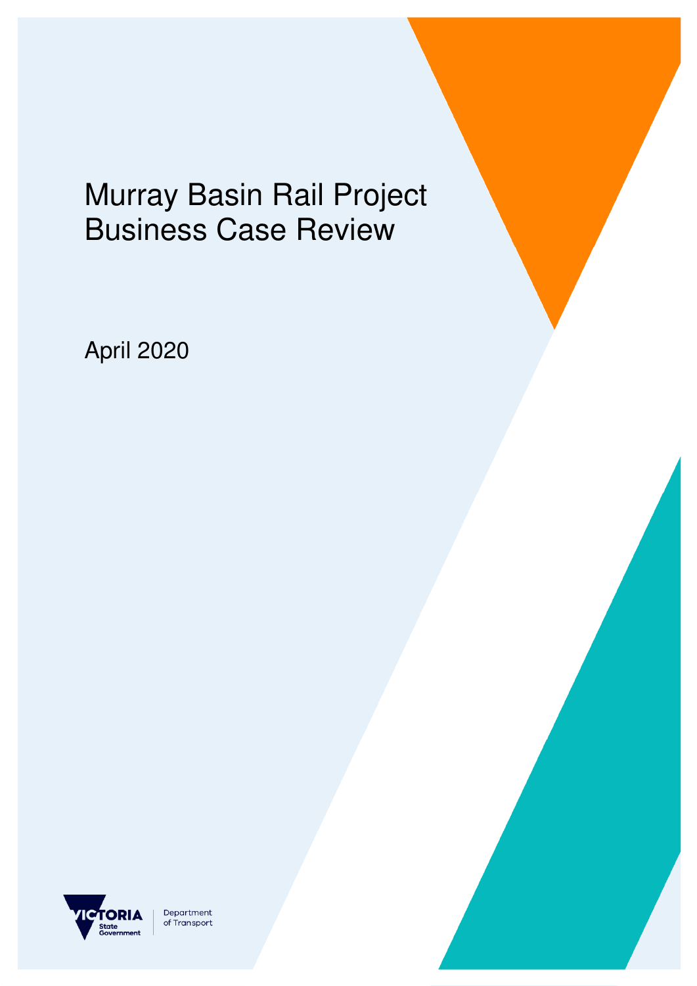# Murray Basin Rail Project Business Case Review

April 2020



Department of Transport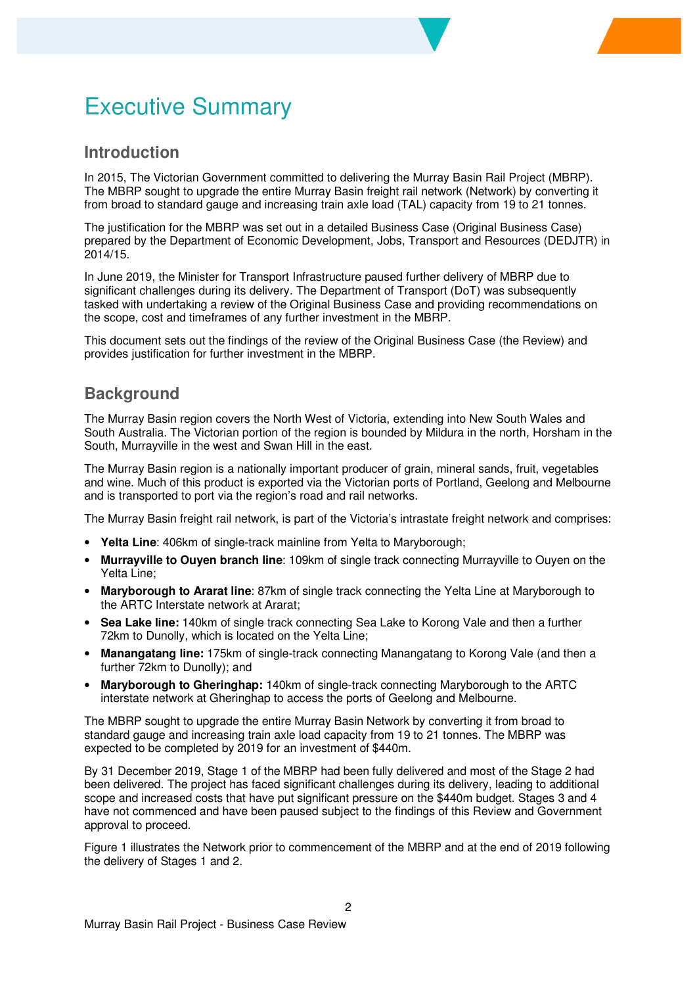## Executive Summary

#### **Introduction**

In 2015, The Victorian Government committed to delivering the Murray Basin Rail Project (MBRP). The MBRP sought to upgrade the entire Murray Basin freight rail network (Network) by converting it from broad to standard gauge and increasing train axle load (TAL) capacity from 19 to 21 tonnes.

The justification for the MBRP was set out in a detailed Business Case (Original Business Case) prepared by the Department of Economic Development, Jobs, Transport and Resources (DEDJTR) in 2014/15.

In June 2019, the Minister for Transport Infrastructure paused further delivery of MBRP due to significant challenges during its delivery. The Department of Transport (DoT) was subsequently tasked with undertaking a review of the Original Business Case and providing recommendations on the scope, cost and timeframes of any further investment in the MBRP.

This document sets out the findings of the review of the Original Business Case (the Review) and provides justification for further investment in the MBRP.

#### **Background**

The Murray Basin region covers the North West of Victoria, extending into New South Wales and South Australia. The Victorian portion of the region is bounded by Mildura in the north, Horsham in the South, Murrayville in the west and Swan Hill in the east.

The Murray Basin region is a nationally important producer of grain, mineral sands, fruit, vegetables and wine. Much of this product is exported via the Victorian ports of Portland, Geelong and Melbourne and is transported to port via the region's road and rail networks.

The Murray Basin freight rail network, is part of the Victoria's intrastate freight network and comprises:

- **Yelta Line**: 406km of single-track mainline from Yelta to Maryborough;
- **Murrayville to Ouyen branch line**: 109km of single track connecting Murrayville to Ouyen on the Yelta Line;
- **Maryborough to Ararat line**: 87km of single track connecting the Yelta Line at Maryborough to the ARTC Interstate network at Ararat;
- **Sea Lake line:** 140km of single track connecting Sea Lake to Korong Vale and then a further 72km to Dunolly, which is located on the Yelta Line;
- **Manangatang line:** 175km of single-track connecting Manangatang to Korong Vale (and then a further 72km to Dunolly); and
- **Maryborough to Gheringhap:** 140km of single-track connecting Maryborough to the ARTC interstate network at Gheringhap to access the ports of Geelong and Melbourne.

The MBRP sought to upgrade the entire Murray Basin Network by converting it from broad to standard gauge and increasing train axle load capacity from 19 to 21 tonnes. The MBRP was expected to be completed by 2019 for an investment of \$440m.

By 31 December 2019, Stage 1 of the MBRP had been fully delivered and most of the Stage 2 had been delivered. The project has faced significant challenges during its delivery, leading to additional scope and increased costs that have put significant pressure on the \$440m budget. Stages 3 and 4 have not commenced and have been paused subject to the findings of this Review and Government approval to proceed.

Figure 1 illustrates the Network prior to commencement of the MBRP and at the end of 2019 following the delivery of Stages 1 and 2.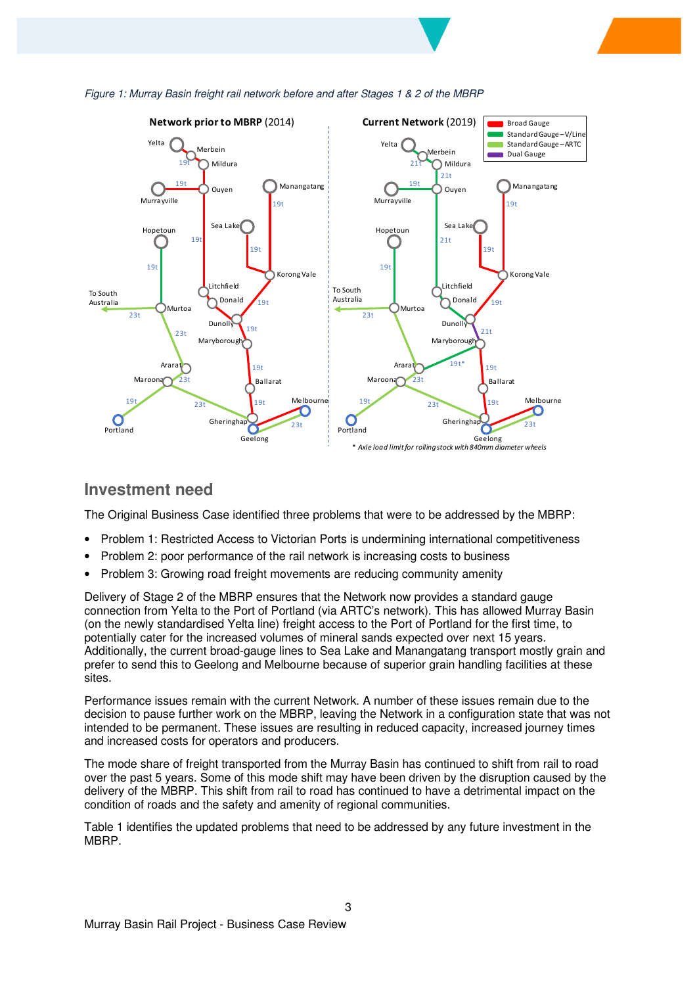



#### **Investment need**

The Original Business Case identified three problems that were to be addressed by the MBRP:

- Problem 1: Restricted Access to Victorian Ports is undermining international competitiveness
- Problem 2: poor performance of the rail network is increasing costs to business
- Problem 3: Growing road freight movements are reducing community amenity

Delivery of Stage 2 of the MBRP ensures that the Network now provides a standard gauge connection from Yelta to the Port of Portland (via ARTC's network). This has allowed Murray Basin (on the newly standardised Yelta line) freight access to the Port of Portland for the first time, to potentially cater for the increased volumes of mineral sands expected over next 15 years. Additionally, the current broad-gauge lines to Sea Lake and Manangatang transport mostly grain and prefer to send this to Geelong and Melbourne because of superior grain handling facilities at these sites.

Performance issues remain with the current Network. A number of these issues remain due to the decision to pause further work on the MBRP, leaving the Network in a configuration state that was not intended to be permanent. These issues are resulting in reduced capacity, increased journey times and increased costs for operators and producers.

The mode share of freight transported from the Murray Basin has continued to shift from rail to road over the past 5 years. Some of this mode shift may have been driven by the disruption caused by the delivery of the MBRP. This shift from rail to road has continued to have a detrimental impact on the condition of roads and the safety and amenity of regional communities.

Table 1 identifies the updated problems that need to be addressed by any future investment in the MBRP.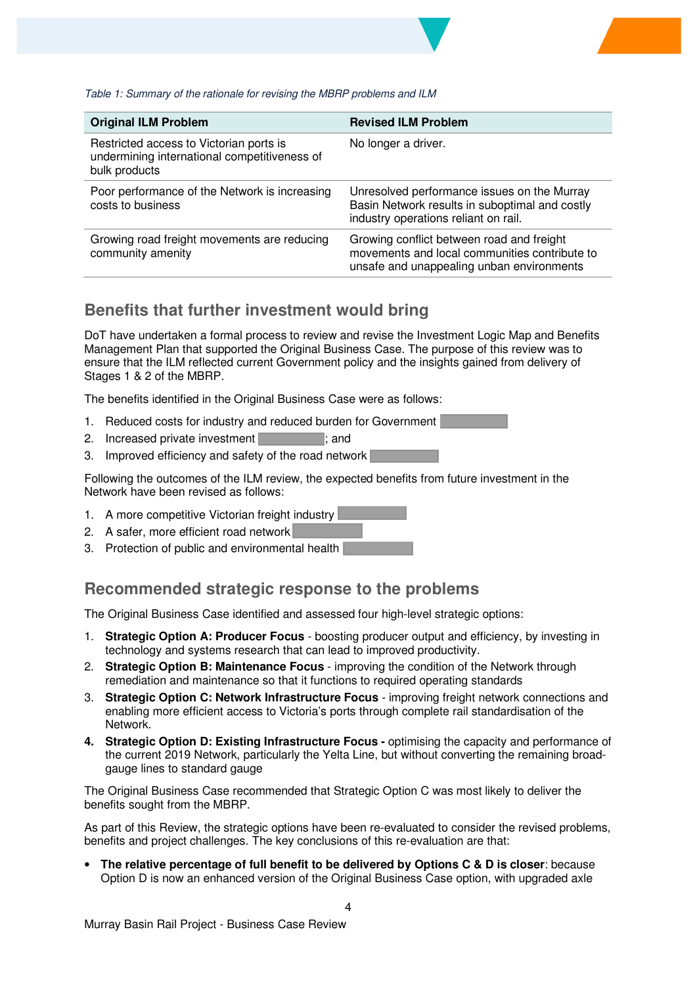#### Table 1: Summary of the rationale for revising the MBRP problems and ILM

| <b>Original ILM Problem</b>                                                                              | <b>Revised ILM Problem</b>                                                                                                              |
|----------------------------------------------------------------------------------------------------------|-----------------------------------------------------------------------------------------------------------------------------------------|
| Restricted access to Victorian ports is<br>undermining international competitiveness of<br>bulk products | No longer a driver.                                                                                                                     |
| Poor performance of the Network is increasing<br>costs to business                                       | Unresolved performance issues on the Murray<br>Basin Network results in suboptimal and costly<br>industry operations reliant on rail.   |
| Growing road freight movements are reducing<br>community amenity                                         | Growing conflict between road and freight<br>movements and local communities contribute to<br>unsafe and unappealing unban environments |

#### **Benefits that further investment would bring**

DoT have undertaken a formal process to review and revise the Investment Logic Map and Benefits Management Plan that supported the Original Business Case. The purpose of this review was to ensure that the ILM reflected current Government policy and the insights gained from delivery of Stages 1 & 2 of the MBRP.

The benefits identified in the Original Business Case were as follows:

- 1. Reduced costs for industry and reduced burden for Government
- 2. Increased private investment **in the same in the same in the same in the same in the same in the same in the same in the same in the same in the same in the same in the same in the same in the same in the same in the sa**
- 3. Improved efficiency and safety of the road network

Following the outcomes of the ILM review, the expected benefits from future investment in the Network have been revised as follows:

- 1. A more competitive Victorian freight industry
- 2. A safer, more efficient road network
- 3. Protection of public and environmental health

#### **Recommended strategic response to the problems**

The Original Business Case identified and assessed four high-level strategic options:

- 1. **Strategic Option A: Producer Focus** boosting producer output and efficiency, by investing in technology and systems research that can lead to improved productivity.
- 2. **Strategic Option B: Maintenance Focus** improving the condition of the Network through remediation and maintenance so that it functions to required operating standards
- 3. **Strategic Option C: Network Infrastructure Focus** improving freight network connections and enabling more efficient access to Victoria's ports through complete rail standardisation of the Network.
- **4. Strategic Option D: Existing Infrastructure Focus optimising the capacity and performance of** the current 2019 Network, particularly the Yelta Line, but without converting the remaining broadgauge lines to standard gauge

The Original Business Case recommended that Strategic Option C was most likely to deliver the benefits sought from the MBRP.

As part of this Review, the strategic options have been re-evaluated to consider the revised problems, benefits and project challenges. The key conclusions of this re-evaluation are that:

• **The relative percentage of full benefit to be delivered by Options C & D is closer**: because Option D is now an enhanced version of the Original Business Case option, with upgraded axle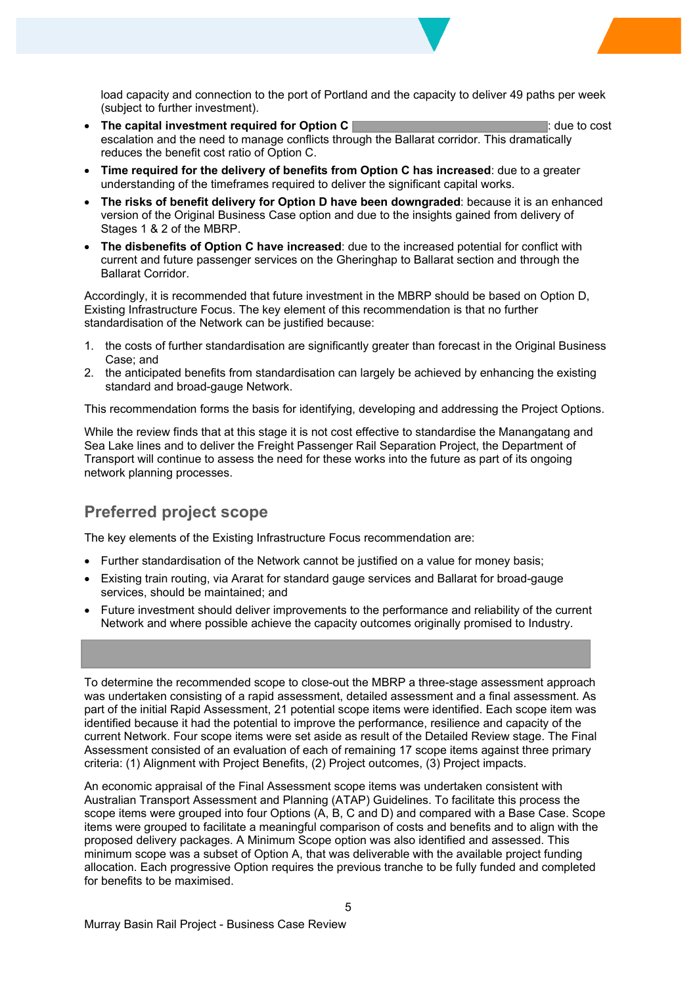load capacity and connection to the port of Portland and the capacity to deliver 49 paths per week (subject to further investment).

- **EXECUTE:** The capital investment required for Option C **interest and C** : due to cost escalation and the need to manage conflicts through the Ballarat corridor. This dramatically reduces the benefit cost ratio of Option C.
- x **Time required for the delivery of benefits from Option C has increased**: due to a greater understanding of the timeframes required to deliver the significant capital works.
- x **The risks of benefit delivery for Option D have been downgraded**: because it is an enhanced version of the Original Business Case option and due to the insights gained from delivery of Stages 1 & 2 of the MBRP.
- **The disbenefits of Option C have increased**: due to the increased potential for conflict with current and future passenger services on the Gheringhap to Ballarat section and through the Ballarat Corridor.

Accordingly, it is recommended that future investment in the MBRP should be based on Option D, Existing Infrastructure Focus. The key element of this recommendation is that no further standardisation of the Network can be justified because:

- 1. the costs of further standardisation are significantly greater than forecast in the Original Business Case; and
- 2. the anticipated benefits from standardisation can largely be achieved by enhancing the existing standard and broad-gauge Network.

This recommendation forms the basis for identifying, developing and addressing the Project Options.

While the review finds that at this stage it is not cost effective to standardise the Manangatang and Sea Lake lines and to deliver the Freight Passenger Rail Separation Project, the Department of Transport will continue to assess the need for these works into the future as part of its ongoing network planning processes.

#### **Preferred project scope**

The key elements of the Existing Infrastructure Focus recommendation are:

- Further standardisation of the Network cannot be justified on a value for money basis;
- Existing train routing, via Ararat for standard gauge services and Ballarat for broad-gauge services, should be maintained; and
- Future investment should deliver improvements to the performance and reliability of the current Network and where possible achieve the capacity outcomes originally promised to Industry.

To determine the recommended scope to close-out the MBRP a three-stage assessment approach was undertaken consisting of a rapid assessment, detailed assessment and a final assessment. As part of the initial Rapid Assessment, 21 potential scope items were identified. Each scope item was identified because it had the potential to improve the performance, resilience and capacity of the current Network. Four scope items were set aside as result of the Detailed Review stage. The Final Assessment consisted of an evaluation of each of remaining 17 scope items against three primary criteria: (1) Alignment with Project Benefits, (2) Project outcomes, (3) Project impacts.

An economic appraisal of the Final Assessment scope items was undertaken consistent with Australian Transport Assessment and Planning (ATAP) Guidelines. To facilitate this process the scope items were grouped into four Options (A, B, C and D) and compared with a Base Case. Scope items were grouped to facilitate a meaningful comparison of costs and benefits and to align with the proposed delivery packages. A Minimum Scope option was also identified and assessed. This minimum scope was a subset of Option A, that was deliverable with the available project funding allocation. Each progressive Option requires the previous tranche to be fully funded and completed for benefits to be maximised.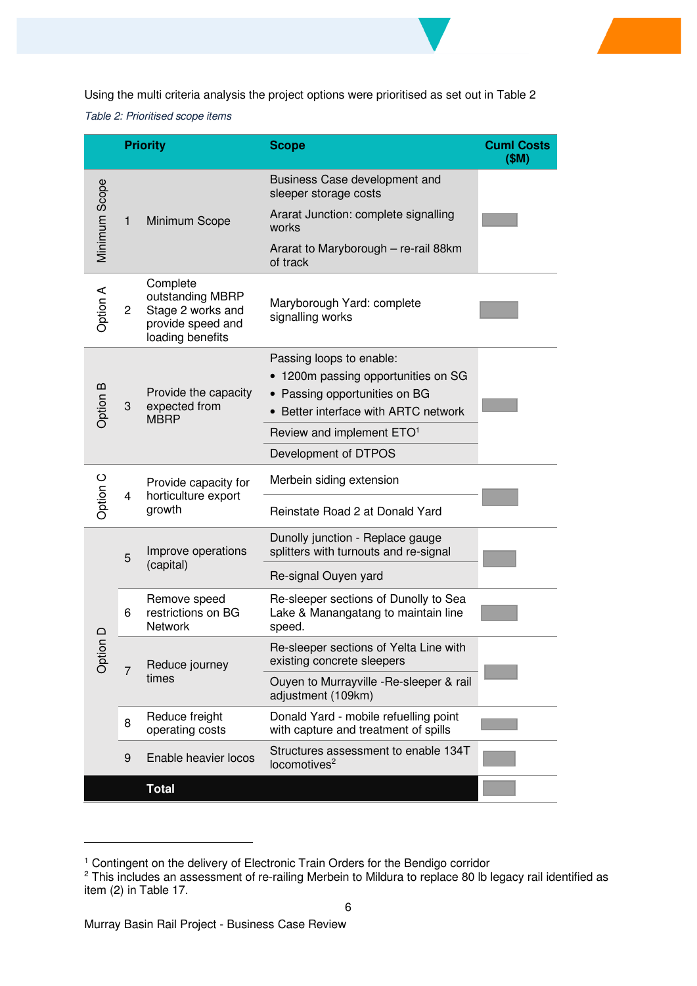Using the multi criteria analysis the project options were prioritised as set out in Table 2

Table 2: Prioritised scope items

| <b>Priority</b> |                                                            |                                                                                            | <b>Scope</b>                                                                           | <b>Cuml Costs</b><br>(SM) |
|-----------------|------------------------------------------------------------|--------------------------------------------------------------------------------------------|----------------------------------------------------------------------------------------|---------------------------|
| Minimum Scope   |                                                            |                                                                                            | Business Case development and<br>sleeper storage costs                                 |                           |
|                 | Minimum Scope<br>1                                         |                                                                                            | Ararat Junction: complete signalling<br>works                                          |                           |
|                 |                                                            | Ararat to Maryborough - re-rail 88km<br>of track                                           |                                                                                        |                           |
| Option A        | $\overline{c}$                                             | Complete<br>outstanding MBRP<br>Stage 2 works and<br>provide speed and<br>loading benefits | Maryborough Yard: complete<br>signalling works                                         |                           |
| Option B        |                                                            | Provide the capacity<br>expected from<br><b>MBRP</b>                                       | Passing loops to enable:<br>1200m passing opportunities on SG                          |                           |
|                 |                                                            |                                                                                            | • Passing opportunities on BG                                                          |                           |
|                 | 3                                                          |                                                                                            | Better interface with ARTC network                                                     |                           |
|                 |                                                            |                                                                                            | Review and implement ETO <sup>1</sup>                                                  |                           |
|                 |                                                            |                                                                                            | Development of DTPOS                                                                   |                           |
| Option C        | Provide capacity for<br>horticulture export<br>4<br>growth |                                                                                            | Merbein siding extension                                                               |                           |
|                 |                                                            | Reinstate Road 2 at Donald Yard                                                            |                                                                                        |                           |
| Option          | 5                                                          | Improve operations                                                                         | Dunolly junction - Replace gauge<br>splitters with turnouts and re-signal              |                           |
|                 | (capital)                                                  | Re-signal Ouyen yard                                                                       |                                                                                        |                           |
|                 | 6                                                          | Remove speed<br>restrictions on BG<br><b>Network</b>                                       | Re-sleeper sections of Dunolly to Sea<br>Lake & Manangatang to maintain line<br>speed. |                           |
|                 | Reduce journey<br>times                                    | Re-sleeper sections of Yelta Line with<br>existing concrete sleepers                       |                                                                                        |                           |
|                 |                                                            | Ouyen to Murrayville -Re-sleeper & rail<br>adjustment (109km)                              |                                                                                        |                           |
|                 | 8                                                          | Reduce freight<br>operating costs                                                          | Donald Yard - mobile refuelling point<br>with capture and treatment of spills          |                           |
|                 | 9                                                          | Enable heavier locos                                                                       | Structures assessment to enable 134T<br>locomotives <sup>2</sup>                       |                           |
|                 |                                                            | <b>Total</b>                                                                               |                                                                                        |                           |

<sup>&</sup>lt;sup>1</sup> Contingent on the delivery of Electronic Train Orders for the Bendigo corridor

 $2$  This includes an assessment of re-railing Merbein to Mildura to replace 80 lb legacy rail identified as item (2) in Table 17.